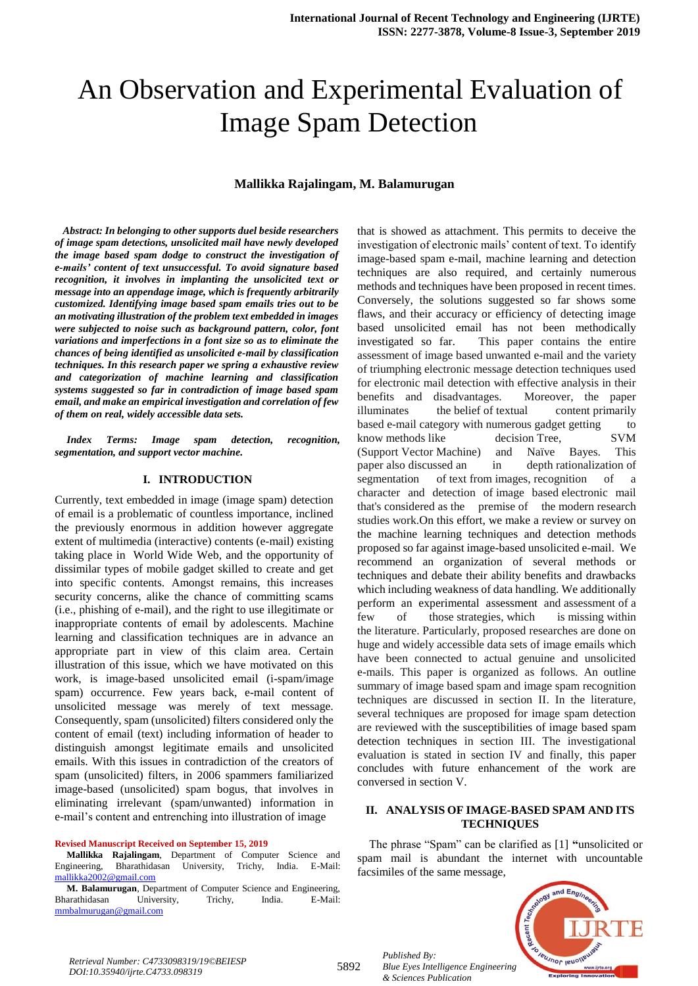# An Observation and Experimental Evaluation of Image Spam Detection

#### **Mallikka Rajalingam, M. Balamurugan**

 *Abstract: In belonging to other supports duel beside researchers of image spam detections, unsolicited mail have newly developed the image based spam dodge to construct the investigation of e-mails' content of text unsuccessful. To avoid signature based recognition, it involves in implanting the unsolicited text or message into an appendage image, which is frequently arbitrarily customized. Identifying image based spam emails tries out to be an motivating illustration of the problem text embedded in images were subjected to noise such as background pattern, color, font variations and imperfections in a font size so as to eliminate the chances of being identified as unsolicited e-mail by classification techniques. In this research paper we spring a exhaustive review and categorization of machine learning and classification systems suggested so far in contradiction of image based spam email, and make an empirical investigation and correlation of few of them on real, widely accessible data sets.*

*Index Terms: Image spam detection, recognition, segmentation, and support vector machine.*

#### **I. INTRODUCTION**

Currently, text embedded in image (image spam) detection of email is a problematic of countless importance, inclined the previously enormous in addition however aggregate extent of multimedia (interactive) contents (e-mail) existing taking place in World Wide Web, and the opportunity of dissimilar types of mobile gadget skilled to create and get into specific contents. Amongst remains, this increases security concerns, alike the chance of committing scams (i.e., phishing of e-mail), and the right to use illegitimate or inappropriate contents of email by adolescents. Machine learning and classification techniques are in advance an appropriate part in view of this claim area. Certain illustration of this issue, which we have motivated on this work, is image-based unsolicited email (i-spam/image spam) occurrence. Few years back, e-mail content of unsolicited message was merely of text message. Consequently, spam (unsolicited) filters considered only the content of email (text) including information of header to distinguish amongst legitimate emails and unsolicited emails. With this issues in contradiction of the creators of spam (unsolicited) filters, in 2006 spammers familiarized image-based (unsolicited) spam bogus, that involves in eliminating irrelevant (spam/unwanted) information in e-mail's content and entrenching into illustration of image

#### **Revised Manuscript Received on September 15, 2019**

**Mallikka Rajalingam**, Department of Computer Science and Engineering, Bharathidasan University, Trichy, India. E-Mail: [mallikka2002@gmail.com](mailto:mallikka2002@gmail.com)

**M. Balamurugan**, Department of Computer Science and Engineering, Bharathidasan University, Trichy, India. E-Mail: [mmbalmurugan@gmail.com](mailto:mmbalmurugan@gmail.com)

that is showed as attachment. This permits to deceive the investigation of electronic mails' content of text. To identify image-based spam e-mail, machine learning and detection techniques are also required, and certainly numerous methods and techniques have been proposed in recent times. Conversely, the solutions suggested so far shows some flaws, and their accuracy or efficiency of detecting image based unsolicited email has not been methodically investigated so far. This paper contains the entire assessment of image based unwanted e-mail and the variety of triumphing electronic message detection techniques used for electronic mail detection with effective analysis in their benefits and disadvantages. Moreover, the paper illuminates the belief of textual content primarily based e-mail category with numerous gadget getting to know methods like decision Tree, SVM (Support Vector Machine) and Naïve Bayes. This paper also discussed an in depth rationalization of segmentation of text from images, recognition of a character and detection of image based electronic mail that's considered as the premise of the modern research studies work.On this effort, we make a review or survey on the machine learning techniques and detection methods proposed so far against image-based unsolicited e-mail. We recommend an organization of several methods or techniques and debate their ability benefits and drawbacks which including weakness of data handling. We additionally perform an experimental assessment and assessment of a few of those strategies, which is missing within the literature. Particularly, proposed researches are done on huge and widely accessible data sets of image emails which have been connected to actual genuine and unsolicited e-mails. This paper is organized as follows. An outline summary of image based spam and image spam recognition techniques are discussed in section II. In the literature, several techniques are proposed for image spam detection are reviewed with the susceptibilities of image based spam detection techniques in section III. The investigational evaluation is stated in section IV and finally, this paper concludes with future enhancement of the work are conversed in section V.

# **II. ANALYSIS OF IMAGE-BASED SPAM AND ITS TECHNIQUES**

The phrase "Spam" can be clarified as [1] **"**unsolicited or spam mail is abundant the internet with uncountable facsimiles of the same message,



*Retrieval Number: C4733098319/19©BEIESP DOI:10.35940/ijrte.C4733.098319*

*Published By: Blue Eyes Intelligence Engineering & Sciences Publication*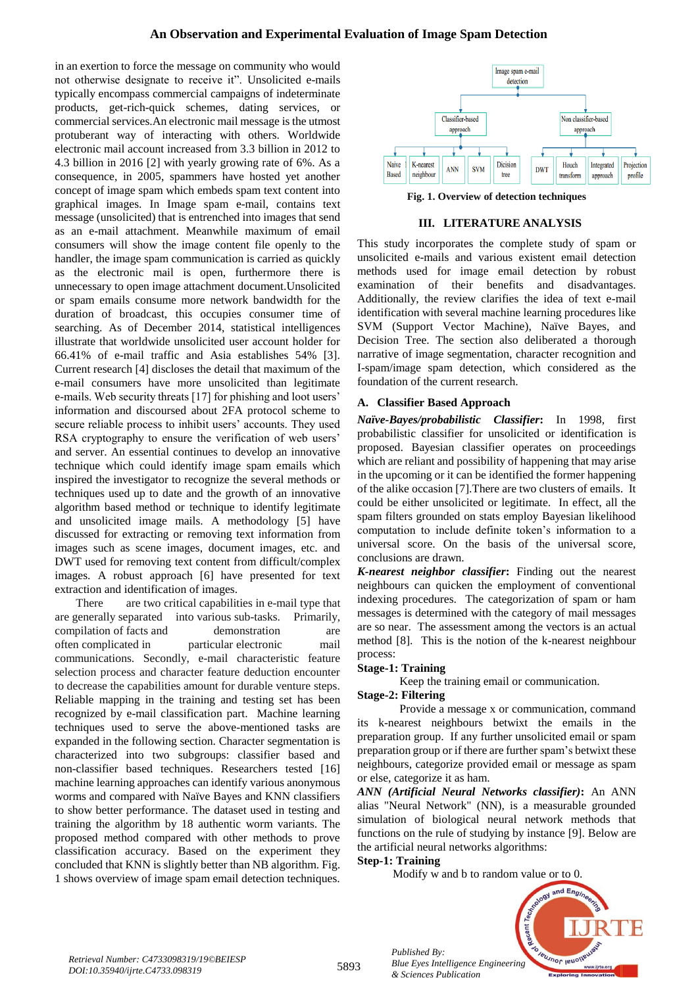in an exertion to force the message on community who would not otherwise designate to receive it". Unsolicited e-mails typically encompass commercial campaigns of indeterminate products, get-rich-quick schemes, dating services, or commercial services.An electronic mail message is the utmost protuberant way of interacting with others. Worldwide electronic mail account increased from 3.3 billion in 2012 to 4.3 billion in 2016 [2] with yearly growing rate of 6%. As a consequence, in 2005, spammers have hosted yet another concept of image spam which embeds spam text content into graphical images. In Image spam e-mail, contains text message (unsolicited) that is entrenched into images that send as an e-mail attachment. Meanwhile maximum of email consumers will show the image content file openly to the handler, the image spam communication is carried as quickly as the electronic mail is open, furthermore there is unnecessary to open image attachment document.Unsolicited or spam emails consume more network bandwidth for the duration of broadcast, this occupies consumer time of searching. As of December 2014, statistical intelligences illustrate that worldwide unsolicited user account holder for 66.41% of e-mail traffic and Asia establishes 54% [3]. Current research [4] discloses the detail that maximum of the e-mail consumers have more unsolicited than legitimate e-mails. Web security threats [17] for phishing and loot users' information and discoursed about 2FA protocol scheme to secure reliable process to inhibit users' accounts. They used RSA cryptography to ensure the verification of web users' and server. An essential continues to develop an innovative technique which could identify image spam emails which inspired the investigator to recognize the several methods or techniques used up to date and the growth of an innovative algorithm based method or technique to identify legitimate and unsolicited image mails. A methodology [5] have discussed for extracting or removing text information from images such as scene images, document images, etc. and DWT used for removing text content from difficult/complex images. A robust approach [6] have presented for text extraction and identification of images.

There are two critical capabilities in e-mail type that are generally separated into various sub-tasks. Primarily, compilation of facts and demonstration are often complicated in particular electronic mail communications. Secondly, e-mail characteristic feature selection process and character feature deduction encounter to decrease the capabilities amount for durable venture steps. Reliable mapping in the training and testing set has been recognized by e-mail classification part. Machine learning techniques used to serve the above-mentioned tasks are expanded in the following section. Character segmentation is characterized into two subgroups: classifier based and non-classifier based techniques. Researchers tested [16] machine learning approaches can identify various anonymous worms and compared with Naïve Bayes and KNN classifiers to show better performance. The dataset used in testing and training the algorithm by 18 authentic worm variants. The proposed method compared with other methods to prove classification accuracy. Based on the experiment they concluded that KNN is slightly better than NB algorithm. Fig. 1 shows overview of image spam email detection techniques.



**Fig. 1. Overview of detection techniques**

## **III. LITERATURE ANALYSIS**

This study incorporates the complete study of spam or unsolicited e-mails and various existent email detection methods used for image email detection by robust examination of their benefits and disadvantages. Additionally, the review clarifies the idea of text e-mail identification with several machine learning procedures like SVM (Support Vector Machine), Naïve Bayes, and Decision Tree. The section also deliberated a thorough narrative of image segmentation, character recognition and I-spam/image spam detection, which considered as the foundation of the current research.

# **A. Classifier Based Approach**

*Naïve-Bayes/probabilistic Classifier***:** In 1998, first probabilistic classifier for unsolicited or identification is proposed. Bayesian classifier operates on proceedings which are reliant and possibility of happening that may arise in the upcoming or it can be identified the former happening of the alike occasion [7].There are two clusters of emails. It could be either unsolicited or legitimate. In effect, all the spam filters grounded on stats employ Bayesian likelihood computation to include definite token's information to a universal score. On the basis of the universal score, conclusions are drawn.

*K-nearest neighbor classifier***:** Finding out the nearest neighbours can quicken the employment of conventional indexing procedures. The categorization of spam or ham messages is determined with the category of mail messages are so near. The assessment among the vectors is an actual method [8]. This is the notion of the k-nearest neighbour process:

## **Stage-1: Training**

Keep the training email or communication.

## **Stage-2: Filtering**

Provide a message x or communication, command its k-nearest neighbours betwixt the emails in the preparation group. If any further unsolicited email or spam preparation group or if there are further spam's betwixt these neighbours, categorize provided email or message as spam or else, categorize it as ham.

*ANN (Artificial Neural Networks classifier)***:** An ANN alias "Neural Network" (NN), is a measurable grounded simulation of biological neural network methods that functions on the rule of studying by instance [9]. Below are the artificial neural networks algorithms:

## **Step-1: Training**

Modify w and b to random value or to 0.



*Published By: Blue Eyes Intelligence Engineering & Sciences Publication*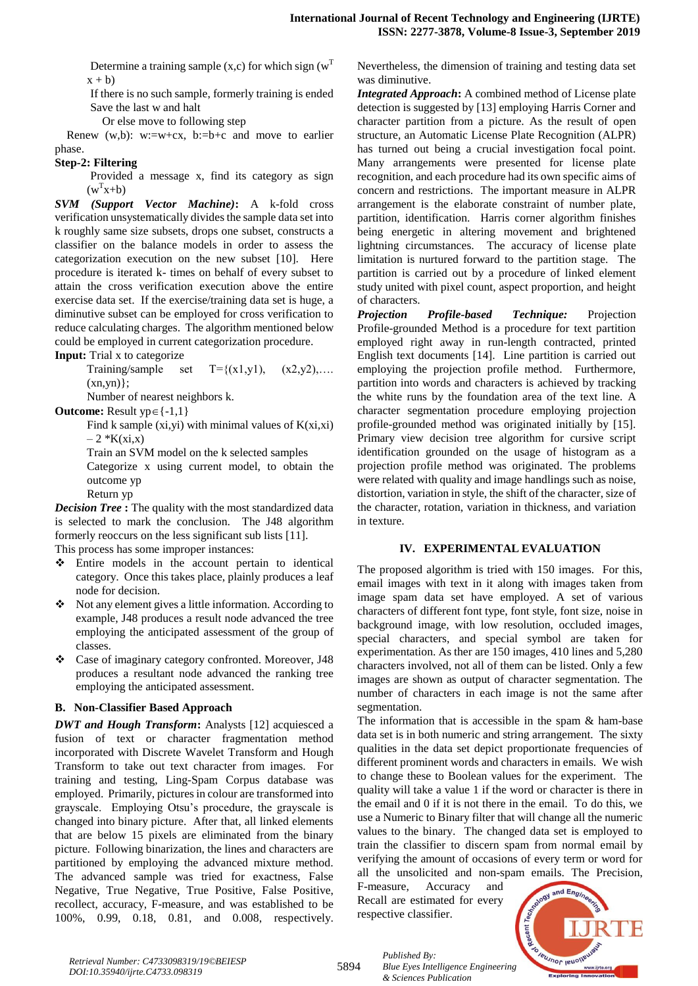Determine a training sample  $(x, c)$  for which sign  $(w<sup>T</sup>)$  $x + b$ 

If there is no such sample, formerly training is ended Save the last w and halt

Or else move to following step

Renew  $(w,b)$ : w:=w+cx, b:=b+c and move to earlier phase.

#### **Step-2: Filtering**

Provided a message x, find its category as sign  $(w<sup>T</sup>x+b)$ 

*SVM (Support Vector Machine)***:** A k-fold cross verification unsystematically divides the sample data set into k roughly same size subsets, drops one subset, constructs a classifier on the balance models in order to assess the categorization execution on the new subset [10]. Here procedure is iterated k- times on behalf of every subset to attain the cross verification execution above the entire exercise data set. If the exercise/training data set is huge, a diminutive subset can be employed for cross verification to reduce calculating charges. The algorithm mentioned below could be employed in current categorization procedure.

**Input:** Trial x to categorize

Training/sample set  $T=\{(x1,y1), (x2,y2), \ldots\}$  $(xn, yn)$ ;

Number of nearest neighbors k.

**Outcome:** Result  $yp \in \{-1,1\}$ 

Find k sample  $(xi,yi)$  with minimal values of  $K(xi,xi)$  $-2 * K(xi,x)$ 

Train an SVM model on the k selected samples

Categorize x using current model, to obtain the outcome yp

Return yp

*Decision Tree* **:** The quality with the most standardized data is selected to mark the conclusion. The J48 algorithm formerly reoccurs on the less significant sub lists [11]. This process has some improper instances:

 Entire models in the account pertain to identical category. Once this takes place, plainly produces a leaf node for decision.

- Not any element gives a little information. According to example, J48 produces a result node advanced the tree employing the anticipated assessment of the group of classes.
- Case of imaginary category confronted. Moreover, J48 produces a resultant node advanced the ranking tree employing the anticipated assessment.

# **B. Non-Classifier Based Approach**

*DWT and Hough Transform***:** Analysts [12] acquiesced a fusion of text or character fragmentation method incorporated with Discrete Wavelet Transform and Hough Transform to take out text character from images. For training and testing, Ling-Spam Corpus database was employed. Primarily, pictures in colour are transformed into grayscale. Employing Otsu's procedure, the grayscale is changed into binary picture. After that, all linked elements that are below 15 pixels are eliminated from the binary picture. Following binarization, the lines and characters are partitioned by employing the advanced mixture method. The advanced sample was tried for exactness, False Negative, True Negative, True Positive, False Positive, recollect, accuracy, F-measure, and was established to be 100%, 0.99, 0.18, 0.81, and 0.008, respectively. Nevertheless, the dimension of training and testing data set was diminutive.

*Integrated Approach***:** A combined method of License plate detection is suggested by [13] employing Harris Corner and character partition from a picture. As the result of open structure, an Automatic License Plate Recognition (ALPR) has turned out being a crucial investigation focal point. Many arrangements were presented for license plate recognition, and each procedure had its own specific aims of concern and restrictions. The important measure in ALPR arrangement is the elaborate constraint of number plate, partition, identification. Harris corner algorithm finishes being energetic in altering movement and brightened lightning circumstances. The accuracy of license plate limitation is nurtured forward to the partition stage. The partition is carried out by a procedure of linked element study united with pixel count, aspect proportion, and height of characters.

*Projection Profile-based Technique:* Projection Profile-grounded Method is a procedure for text partition employed right away in run-length contracted, printed English text documents [14]. Line partition is carried out employing the projection profile method. Furthermore, partition into words and characters is achieved by tracking the white runs by the foundation area of the text line. A character segmentation procedure employing projection profile-grounded method was originated initially by [15]. Primary view decision tree algorithm for cursive script identification grounded on the usage of histogram as a projection profile method was originated. The problems were related with quality and image handlings such as noise, distortion, variation in style, the shift of the character, size of the character, rotation, variation in thickness, and variation in texture.

## **IV. EXPERIMENTAL EVALUATION**

The proposed algorithm is tried with 150 images. For this, email images with text in it along with images taken from image spam data set have employed. A set of various characters of different font type, font style, font size, noise in background image, with low resolution, occluded images, special characters, and special symbol are taken for experimentation. As ther are 150 images, 410 lines and 5,280 characters involved, not all of them can be listed. Only a few images are shown as output of character segmentation. The number of characters in each image is not the same after segmentation.

The information that is accessible in the spam & ham-base data set is in both numeric and string arrangement. The sixty qualities in the data set depict proportionate frequencies of different prominent words and characters in emails. We wish to change these to Boolean values for the experiment. The quality will take a value 1 if the word or character is there in the email and 0 if it is not there in the email. To do this, we use a Numeric to Binary filter that will change all the numeric values to the binary. The changed data set is employed to train the classifier to discern spam from normal email by verifying the amount of occasions of every term or word for all the unsolicited and non-spam emails. The Precision,

F-measure, Accuracy and Recall are estimated for every respective classifier.



*Published By: Blue Eyes Intelligence Engineering & Sciences Publication*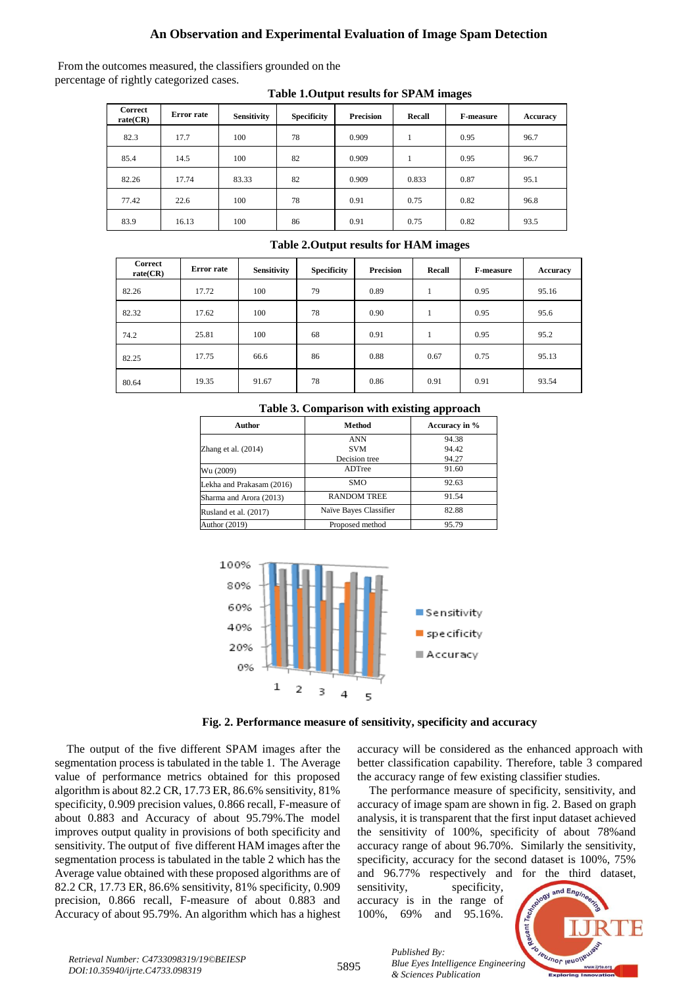# **An Observation and Experimental Evaluation of Image Spam Detection**

From the outcomes measured, the classifiers grounded on the percentage of rightly categorized cases.

| <b>Correct</b><br>rate(CR) | Error rate | Sensitivity | <b>Specificity</b> | <b>Precision</b> | Recall | <b>F-measure</b> | Accuracy |
|----------------------------|------------|-------------|--------------------|------------------|--------|------------------|----------|
| 82.3                       | 17.7       | 100         | 78                 | 0.909            |        | 0.95             | 96.7     |
| 85.4                       | 14.5       | 100         | 82                 | 0.909            |        | 0.95             | 96.7     |
| 82.26                      | 17.74      | 83.33       | 82                 | 0.909            | 0.833  | 0.87             | 95.1     |
| 77.42                      | 22.6       | 100         | 78                 | 0.91             | 0.75   | 0.82             | 96.8     |
| 83.9                       | 16.13      | 100         | 86                 | 0.91             | 0.75   | 0.82             | 93.5     |

#### **Table 1.Output results for SPAM images**

| <b>Correct</b><br>rate(CR) | Error rate | <b>Sensitivity</b> | <b>Specificity</b> | <b>Precision</b> | Recall | <b>F-measure</b> | Accuracy |
|----------------------------|------------|--------------------|--------------------|------------------|--------|------------------|----------|
| 82.26                      | 17.72      | 100                | 79                 | 0.89             | л.     | 0.95             | 95.16    |
| 82.32                      | 17.62      | 100                | 78                 | 0.90             | ı      | 0.95             | 95.6     |
| 74.2                       | 25.81      | 100                | 68                 | 0.91             |        | 0.95             | 95.2     |
| 82.25                      | 17.75      | 66.6               | 86                 | 0.88             | 0.67   | 0.75             | 95.13    |
| 80.64                      | 19.35      | 91.67              | 78                 | 0.86             | 0.91   | 0.91             | 93.54    |

#### **Table 2.Output results for HAM images**

| Author                    | Method                 | Accuracy in % |  |
|---------------------------|------------------------|---------------|--|
|                           | <b>ANN</b>             | 94.38         |  |
| Zhang et al. $(2014)$     | <b>SVM</b>             | 94.42         |  |
|                           | Decision tree          | 94.27         |  |
| Wu (2009)                 | ADTree                 | 91.60         |  |
| Lekha and Prakasam (2016) | SMO                    | 92.63         |  |
| Sharma and Arora (2013)   | <b>RANDOM TREE</b>     | 91.54         |  |
| Rusland et al. (2017)     | Naïve Bayes Classifier | 82.88         |  |
| Author (2019)             | Proposed method        | 95.79         |  |





**Fig. 2. Performance measure of sensitivity, specificity and accuracy**

The output of the five different SPAM images after the segmentation process is tabulated in the table 1. The Average value of performance metrics obtained for this proposed algorithm is about 82.2 CR, 17.73 ER, 86.6% sensitivity, 81% specificity, 0.909 precision values, 0.866 recall, F-measure of about 0.883 and Accuracy of about 95.79%.The model improves output quality in provisions of both specificity and sensitivity. The output of five different HAM images after the segmentation process is tabulated in the table 2 which has the Average value obtained with these proposed algorithms are of 82.2 CR, 17.73 ER, 86.6% sensitivity, 81% specificity, 0.909 precision, 0.866 recall, F-measure of about 0.883 and Accuracy of about 95.79%. An algorithm which has a highest accuracy will be considered as the enhanced approach with better classification capability. Therefore, table 3 compared the accuracy range of few existing classifier studies.

The performance measure of specificity, sensitivity, and accuracy of image spam are shown in fig. 2. Based on graph analysis, it is transparent that the first input dataset achieved the sensitivity of 100%, specificity of about 78%and accuracy range of about 96.70%. Similarly the sensitivity, specificity, accuracy for the second dataset is 100%, 75% and 96.77% respectively and for the third dataset,

sensitivity, specificity, accuracy is in the range of 100%, 69% and 95.16%.

*& Sciences Publication* 

*Published By:*



5895